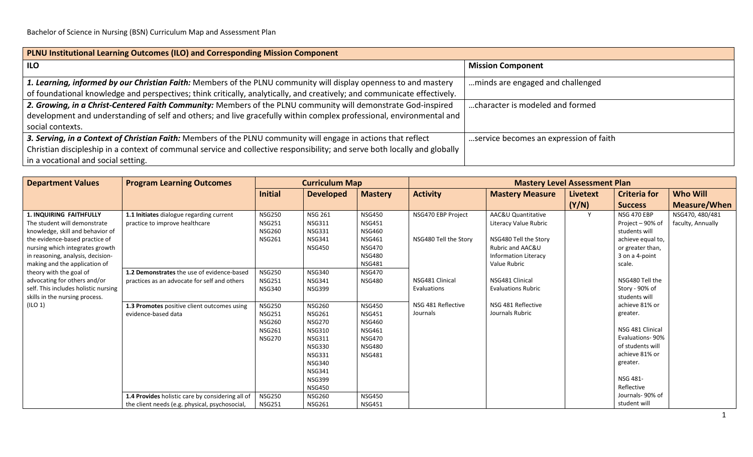| PLNU Institutional Learning Outcomes (ILO) and Corresponding Mission Component                                             |                                        |  |  |  |  |  |  |  |
|----------------------------------------------------------------------------------------------------------------------------|----------------------------------------|--|--|--|--|--|--|--|
| <b>ILO</b>                                                                                                                 | <b>Mission Component</b>               |  |  |  |  |  |  |  |
| 1. Learning, informed by our Christian Faith: Members of the PLNU community will display openness to and mastery           | minds are engaged and challenged       |  |  |  |  |  |  |  |
| of foundational knowledge and perspectives; think critically, analytically, and creatively; and communicate effectively.   |                                        |  |  |  |  |  |  |  |
| 2. Growing, in a Christ-Centered Faith Community: Members of the PLNU community will demonstrate God-inspired              | character is modeled and formed        |  |  |  |  |  |  |  |
| development and understanding of self and others; and live gracefully within complex professional, environmental and       |                                        |  |  |  |  |  |  |  |
| social contexts.                                                                                                           |                                        |  |  |  |  |  |  |  |
| 3. Serving, in a Context of Christian Faith: Members of the PLNU community will engage in actions that reflect             | service becomes an expression of faith |  |  |  |  |  |  |  |
| Christian discipleship in a context of communal service and collective responsibility; and serve both locally and globally |                                        |  |  |  |  |  |  |  |
| in a vocational and social setting.                                                                                        |                                        |  |  |  |  |  |  |  |

| <b>Department Values</b>                                                                                                                                                                     | <b>Program Learning Outcomes</b>                                                                                                                                                                                         | <b>Curriculum Map</b>                                                                                                                |                                                                                                                                                                                         |                                                                                                                     | <b>Mastery Level Assessment Plan</b>                                                      |                                                                                                                |                 |                                                                                                                                                                                        |                     |  |
|----------------------------------------------------------------------------------------------------------------------------------------------------------------------------------------------|--------------------------------------------------------------------------------------------------------------------------------------------------------------------------------------------------------------------------|--------------------------------------------------------------------------------------------------------------------------------------|-----------------------------------------------------------------------------------------------------------------------------------------------------------------------------------------|---------------------------------------------------------------------------------------------------------------------|-------------------------------------------------------------------------------------------|----------------------------------------------------------------------------------------------------------------|-----------------|----------------------------------------------------------------------------------------------------------------------------------------------------------------------------------------|---------------------|--|
|                                                                                                                                                                                              |                                                                                                                                                                                                                          | <b>Initial</b>                                                                                                                       | <b>Developed</b>                                                                                                                                                                        | <b>Mastery</b>                                                                                                      | <b>Activity</b>                                                                           | <b>Mastery Measure</b>                                                                                         | <b>Livetext</b> | <b>Criteria for</b>                                                                                                                                                                    | <b>Who Will</b>     |  |
|                                                                                                                                                                                              |                                                                                                                                                                                                                          |                                                                                                                                      |                                                                                                                                                                                         |                                                                                                                     |                                                                                           |                                                                                                                | (Y/N)           | <b>Success</b>                                                                                                                                                                         | <b>Measure/When</b> |  |
| <b>1. INQUIRING FAITHFULLY</b>                                                                                                                                                               | 1.1 Initiates dialogue regarding current                                                                                                                                                                                 | <b>NSG250</b>                                                                                                                        | <b>NSG 261</b>                                                                                                                                                                          | <b>NSG450</b>                                                                                                       | NSG470 EBP Project                                                                        | AAC&U Quantitative                                                                                             | Y               | <b>NSG 470 EBP</b>                                                                                                                                                                     | NSG470, 480/481     |  |
| The student will demonstrate<br>knowledge, skill and behavior of                                                                                                                             | practice to improve healthcare                                                                                                                                                                                           | <b>NSG251</b><br><b>NSG260</b>                                                                                                       | <b>NSG311</b><br><b>NSG331</b>                                                                                                                                                          | <b>NSG451</b><br><b>NSG460</b>                                                                                      |                                                                                           | Literacy Value Rubric                                                                                          |                 | Project - 90% of<br>students will                                                                                                                                                      | faculty, Annually   |  |
|                                                                                                                                                                                              |                                                                                                                                                                                                                          |                                                                                                                                      |                                                                                                                                                                                         |                                                                                                                     |                                                                                           |                                                                                                                |                 |                                                                                                                                                                                        |                     |  |
|                                                                                                                                                                                              |                                                                                                                                                                                                                          |                                                                                                                                      | <b>NSG450</b>                                                                                                                                                                           | <b>NSG470</b>                                                                                                       |                                                                                           | Rubric and AAC&U                                                                                               |                 |                                                                                                                                                                                        |                     |  |
| in reasoning, analysis, decision-                                                                                                                                                            |                                                                                                                                                                                                                          |                                                                                                                                      |                                                                                                                                                                                         | <b>NSG480</b>                                                                                                       |                                                                                           | <b>Information Literacy</b>                                                                                    |                 | 3 on a 4-point                                                                                                                                                                         |                     |  |
| making and the application of                                                                                                                                                                |                                                                                                                                                                                                                          |                                                                                                                                      |                                                                                                                                                                                         | <b>NSG481</b>                                                                                                       |                                                                                           | Value Rubric                                                                                                   |                 | scale.                                                                                                                                                                                 |                     |  |
| theory with the goal of                                                                                                                                                                      | 1.2 Demonstrates the use of evidence-based                                                                                                                                                                               | <b>NSG250</b>                                                                                                                        | <b>NSG340</b>                                                                                                                                                                           | <b>NSG470</b>                                                                                                       |                                                                                           |                                                                                                                |                 |                                                                                                                                                                                        |                     |  |
|                                                                                                                                                                                              |                                                                                                                                                                                                                          |                                                                                                                                      |                                                                                                                                                                                         |                                                                                                                     |                                                                                           |                                                                                                                |                 |                                                                                                                                                                                        |                     |  |
|                                                                                                                                                                                              |                                                                                                                                                                                                                          |                                                                                                                                      |                                                                                                                                                                                         |                                                                                                                     |                                                                                           |                                                                                                                |                 |                                                                                                                                                                                        |                     |  |
|                                                                                                                                                                                              |                                                                                                                                                                                                                          |                                                                                                                                      |                                                                                                                                                                                         |                                                                                                                     |                                                                                           |                                                                                                                |                 |                                                                                                                                                                                        |                     |  |
|                                                                                                                                                                                              |                                                                                                                                                                                                                          |                                                                                                                                      |                                                                                                                                                                                         |                                                                                                                     |                                                                                           |                                                                                                                |                 |                                                                                                                                                                                        |                     |  |
|                                                                                                                                                                                              |                                                                                                                                                                                                                          |                                                                                                                                      |                                                                                                                                                                                         |                                                                                                                     |                                                                                           |                                                                                                                |                 |                                                                                                                                                                                        |                     |  |
|                                                                                                                                                                                              |                                                                                                                                                                                                                          | <b>NSG261</b>                                                                                                                        | <b>NSG310</b>                                                                                                                                                                           | <b>NSG461</b>                                                                                                       |                                                                                           |                                                                                                                |                 | NSG 481 Clinical                                                                                                                                                                       |                     |  |
|                                                                                                                                                                                              |                                                                                                                                                                                                                          | <b>NSG270</b>                                                                                                                        | <b>NSG311</b>                                                                                                                                                                           | <b>NSG470</b>                                                                                                       |                                                                                           |                                                                                                                |                 | <b>Evaluations-90%</b>                                                                                                                                                                 |                     |  |
|                                                                                                                                                                                              |                                                                                                                                                                                                                          |                                                                                                                                      | <b>NSG330</b>                                                                                                                                                                           | <b>NSG480</b>                                                                                                       |                                                                                           |                                                                                                                |                 | of students will                                                                                                                                                                       |                     |  |
|                                                                                                                                                                                              |                                                                                                                                                                                                                          |                                                                                                                                      | <b>NSG331</b>                                                                                                                                                                           | <b>NSG481</b>                                                                                                       |                                                                                           |                                                                                                                |                 | achieve 81% or                                                                                                                                                                         |                     |  |
|                                                                                                                                                                                              |                                                                                                                                                                                                                          |                                                                                                                                      | <b>NSG340</b>                                                                                                                                                                           |                                                                                                                     |                                                                                           |                                                                                                                |                 | greater.                                                                                                                                                                               |                     |  |
|                                                                                                                                                                                              |                                                                                                                                                                                                                          |                                                                                                                                      |                                                                                                                                                                                         |                                                                                                                     |                                                                                           |                                                                                                                |                 |                                                                                                                                                                                        |                     |  |
|                                                                                                                                                                                              |                                                                                                                                                                                                                          |                                                                                                                                      |                                                                                                                                                                                         |                                                                                                                     |                                                                                           |                                                                                                                |                 |                                                                                                                                                                                        |                     |  |
|                                                                                                                                                                                              |                                                                                                                                                                                                                          |                                                                                                                                      |                                                                                                                                                                                         |                                                                                                                     |                                                                                           |                                                                                                                |                 |                                                                                                                                                                                        |                     |  |
|                                                                                                                                                                                              |                                                                                                                                                                                                                          |                                                                                                                                      |                                                                                                                                                                                         |                                                                                                                     |                                                                                           |                                                                                                                |                 |                                                                                                                                                                                        |                     |  |
| the evidence-based practice of<br>nursing which integrates growth<br>advocating for others and/or<br>self. This includes holistic nursing<br>skills in the nursing process.<br>$($ ILO 1 $)$ | practices as an advocate for self and others<br>1.3 Promotes positive client outcomes using<br>evidence-based data<br>1.4 Provides holistic care by considering all of<br>the client needs (e.g. physical, psychosocial, | <b>NSG261</b><br><b>NSG251</b><br><b>NSG340</b><br><b>NSG250</b><br><b>NSG251</b><br><b>NSG260</b><br><b>NSG250</b><br><b>NSG251</b> | <b>NSG341</b><br><b>NSG341</b><br><b>NSG399</b><br><b>NSG260</b><br><b>NSG261</b><br><b>NSG270</b><br><b>NSG341</b><br><b>NSG399</b><br><b>NSG450</b><br><b>NSG260</b><br><b>NSG261</b> | <b>NSG461</b><br><b>NSG480</b><br><b>NSG450</b><br><b>NSG451</b><br><b>NSG460</b><br><b>NSG450</b><br><b>NSG451</b> | NSG480 Tell the Story<br>NSG481 Clinical<br>Evaluations<br>NSG 481 Reflective<br>Journals | NSG480 Tell the Story<br>NSG481 Clinical<br><b>Evaluations Rubric</b><br>NSG 481 Reflective<br>Journals Rubric |                 | achieve equal to,<br>or greater than,<br>NSG480 Tell the<br>Story - 90% of<br>students will<br>achieve 81% or<br>greater.<br>NSG 481-<br>Reflective<br>Journals-90% of<br>student will |                     |  |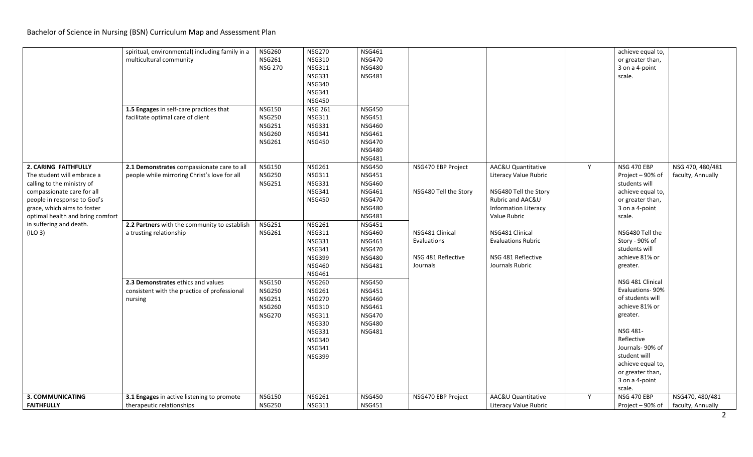## Bachelor of Science in Nursing (BSN) Curriculum Map and Assessment Plan

|                                                                                                                                                                                                                                                        | spiritual, environmental) including family in a<br>multicultural community<br>1.5 Engages in self-care practices that<br>facilitate optimal care of client            | <b>NSG260</b><br><b>NSG261</b><br><b>NSG 270</b><br><b>NSG150</b><br><b>NSG250</b><br><b>NSG251</b><br><b>NSG260</b><br><b>NSG261</b> | <b>NSG270</b><br><b>NSG310</b><br><b>NSG311</b><br><b>NSG331</b><br><b>NSG340</b><br><b>NSG341</b><br><b>NSG450</b><br><b>NSG 261</b><br><b>NSG311</b><br><b>NSG331</b><br><b>NSG341</b><br><b>NSG450</b> | <b>NSG461</b><br><b>NSG470</b><br><b>NSG480</b><br><b>NSG481</b><br><b>NSG450</b><br><b>NSG451</b><br><b>NSG460</b><br><b>NSG461</b><br><b>NSG470</b><br><b>NSG480</b><br><b>NSG481</b>                                   |                                                                                                                 |                                                                                                                                                                                                                                       | achieve equal to,<br>or greater than,<br>3 on a 4-point<br>scale.                                                                                                                                                        |                                       |
|--------------------------------------------------------------------------------------------------------------------------------------------------------------------------------------------------------------------------------------------------------|-----------------------------------------------------------------------------------------------------------------------------------------------------------------------|---------------------------------------------------------------------------------------------------------------------------------------|-----------------------------------------------------------------------------------------------------------------------------------------------------------------------------------------------------------|---------------------------------------------------------------------------------------------------------------------------------------------------------------------------------------------------------------------------|-----------------------------------------------------------------------------------------------------------------|---------------------------------------------------------------------------------------------------------------------------------------------------------------------------------------------------------------------------------------|--------------------------------------------------------------------------------------------------------------------------------------------------------------------------------------------------------------------------|---------------------------------------|
| 2. CARING FAITHFULLY<br>The student will embrace a<br>calling to the ministry of<br>compassionate care for all<br>people in response to God's<br>grace, which aims to foster<br>optimal health and bring comfort<br>in suffering and death.<br>(ILO 3) | 2.1 Demonstrates compassionate care to all<br>people while mirroring Christ's love for all<br>2.2 Partners with the community to establish<br>a trusting relationship | <b>NSG150</b><br><b>NSG250</b><br><b>NSG251</b><br><b>NSG251</b><br><b>NSG261</b>                                                     | <b>NSG261</b><br><b>NSG311</b><br><b>NSG331</b><br><b>NSG341</b><br><b>NSG450</b><br><b>NSG261</b><br><b>NSG311</b><br><b>NSG331</b><br><b>NSG341</b><br><b>NSG399</b><br><b>NSG460</b><br><b>NSG461</b>  | <b>NSG450</b><br><b>NSG451</b><br><b>NSG460</b><br><b>NSG461</b><br><b>NSG470</b><br><b>NSG480</b><br><b>NSG481</b><br><b>NSG451</b><br><b>NSG460</b><br><b>NSG461</b><br><b>NSG470</b><br><b>NSG480</b><br><b>NSG481</b> | NSG470 EBP Project<br>NSG480 Tell the Story<br>NSG481 Clinical<br>Evaluations<br>NSG 481 Reflective<br>Journals | AAC&U Quantitative<br>Y<br>Literacy Value Rubric<br>NSG480 Tell the Story<br>Rubric and AAC&U<br><b>Information Literacy</b><br>Value Rubric<br>NSG481 Clinical<br><b>Evaluations Rubric</b><br>NSG 481 Reflective<br>Journals Rubric | NSG 470 EBP<br>Project - 90% of<br>students will<br>achieve equal to,<br>or greater than,<br>3 on a 4-point<br>scale.<br>NSG480 Tell the<br>Story - 90% of<br>students will<br>achieve 81% or<br>greater.                | NSG 470, 480/481<br>faculty, Annually |
|                                                                                                                                                                                                                                                        | 2.3 Demonstrates ethics and values<br>consistent with the practice of professional<br>nursing                                                                         | <b>NSG150</b><br><b>NSG250</b><br><b>NSG251</b><br><b>NSG260</b><br><b>NSG270</b>                                                     | <b>NSG260</b><br><b>NSG261</b><br><b>NSG270</b><br><b>NSG310</b><br><b>NSG311</b><br><b>NSG330</b><br><b>NSG331</b><br><b>NSG340</b><br><b>NSG341</b><br><b>NSG399</b>                                    | <b>NSG450</b><br><b>NSG451</b><br><b>NSG460</b><br><b>NSG461</b><br><b>NSG470</b><br><b>NSG480</b><br><b>NSG481</b>                                                                                                       |                                                                                                                 |                                                                                                                                                                                                                                       | NSG 481 Clinical<br>Evaluations-90%<br>of students will<br>achieve 81% or<br>greater.<br>NSG 481-<br>Reflective<br>Journals- 90% of<br>student will<br>achieve equal to,<br>or greater than,<br>3 on a 4-point<br>scale. |                                       |
| <b>3. COMMUNICATING</b><br><b>FAITHFULLY</b>                                                                                                                                                                                                           | 3.1 Engages in active listening to promote<br>therapeutic relationships                                                                                               | <b>NSG150</b><br><b>NSG250</b>                                                                                                        | <b>NSG261</b><br><b>NSG311</b>                                                                                                                                                                            | <b>NSG450</b><br><b>NSG451</b>                                                                                                                                                                                            | NSG470 EBP Project                                                                                              | AAC&U Quantitative<br>Y<br>Literacy Value Rubric                                                                                                                                                                                      | <b>NSG 470 EBP</b><br>Project – 90% of                                                                                                                                                                                   | NSG470, 480/481<br>faculty, Annually  |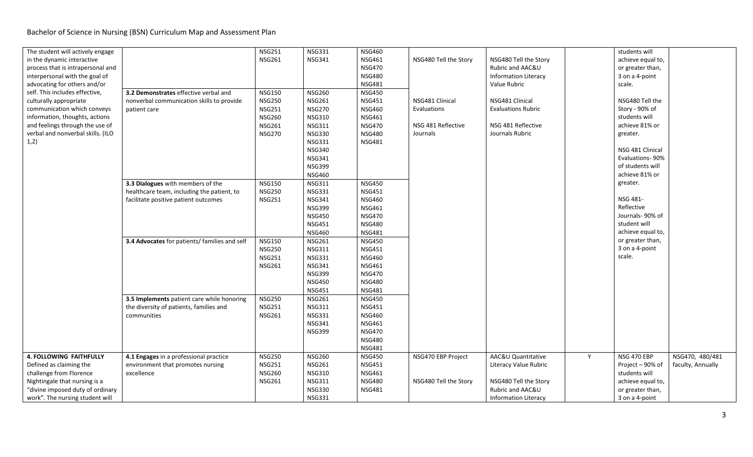| The student will actively engage  |                                               | <b>NSG251</b>                  | <b>NSG331</b> | <b>NSG460</b> |                       |                             |   | students will     |                   |
|-----------------------------------|-----------------------------------------------|--------------------------------|---------------|---------------|-----------------------|-----------------------------|---|-------------------|-------------------|
| in the dynamic interactive        |                                               | <b>NSG261</b>                  | <b>NSG341</b> | <b>NSG461</b> | NSG480 Tell the Story | NSG480 Tell the Story       |   | achieve equal to, |                   |
| process that is intrapersonal and |                                               |                                |               | <b>NSG470</b> |                       | Rubric and AAC&U            |   | or greater than,  |                   |
| interpersonal with the goal of    |                                               |                                |               | <b>NSG480</b> |                       | <b>Information Literacy</b> |   | 3 on a 4-point    |                   |
| advocating for others and/or      |                                               |                                |               | <b>NSG481</b> |                       | Value Rubric                |   | scale.            |                   |
| self. This includes effective,    | 3.2 Demonstrates effective verbal and         | <b>NSG150</b>                  | <b>NSG260</b> | <b>NSG450</b> |                       |                             |   |                   |                   |
| culturally appropriate            | nonverbal communication skills to provide     | <b>NSG250</b>                  | <b>NSG261</b> | <b>NSG451</b> | NSG481 Clinical       | NSG481 Clinical             |   | NSG480 Tell the   |                   |
| communication which conveys       | patient care                                  | <b>NSG251</b>                  | <b>NSG270</b> | <b>NSG460</b> | Evaluations           | <b>Evaluations Rubric</b>   |   | Story - 90% of    |                   |
| information, thoughts, actions    |                                               | <b>NSG260</b>                  | <b>NSG310</b> | <b>NSG461</b> |                       |                             |   | students will     |                   |
| and feelings through the use of   |                                               | <b>NSG261</b>                  | <b>NSG311</b> | <b>NSG470</b> | NSG 481 Reflective    | NSG 481 Reflective          |   | achieve 81% or    |                   |
| verbal and nonverbal skills. (ILO |                                               | <b>NSG270</b>                  | <b>NSG330</b> | <b>NSG480</b> | Journals              | Journals Rubric             |   | greater.          |                   |
| 1,2)                              |                                               |                                | <b>NSG331</b> | <b>NSG481</b> |                       |                             |   |                   |                   |
|                                   |                                               |                                | <b>NSG340</b> |               |                       |                             |   | NSG 481 Clinical  |                   |
|                                   |                                               |                                | <b>NSG341</b> |               |                       |                             |   | Evaluations-90%   |                   |
|                                   |                                               |                                | <b>NSG399</b> |               |                       |                             |   | of students will  |                   |
|                                   |                                               |                                | <b>NSG460</b> |               |                       |                             |   | achieve 81% or    |                   |
|                                   | 3.3 Dialogues with members of the             | <b>NSG150</b>                  | <b>NSG311</b> | <b>NSG450</b> |                       |                             |   | greater.          |                   |
|                                   | healthcare team, including the patient, to    | <b>NSG250</b>                  | <b>NSG331</b> | <b>NSG451</b> |                       |                             |   |                   |                   |
|                                   | facilitate positive patient outcomes          | <b>NSG251</b>                  | <b>NSG341</b> | <b>NSG460</b> |                       |                             |   | NSG 481-          |                   |
|                                   |                                               |                                | <b>NSG399</b> | <b>NSG461</b> |                       |                             |   | Reflective        |                   |
|                                   |                                               |                                | <b>NSG450</b> | <b>NSG470</b> |                       |                             |   | Journals- 90% of  |                   |
|                                   |                                               |                                | <b>NSG451</b> | <b>NSG480</b> |                       |                             |   | student will      |                   |
|                                   |                                               |                                | <b>NSG460</b> | <b>NSG481</b> |                       |                             |   | achieve equal to, |                   |
|                                   | 3.4 Advocates for patients/ families and self | <b>NSG150</b>                  | <b>NSG261</b> | <b>NSG450</b> |                       |                             |   | or greater than,  |                   |
|                                   |                                               |                                | <b>NSG311</b> | <b>NSG451</b> |                       |                             |   | 3 on a 4-point    |                   |
|                                   |                                               | <b>NSG250</b><br><b>NSG251</b> | <b>NSG331</b> | <b>NSG460</b> |                       |                             |   | scale.            |                   |
|                                   |                                               |                                |               |               |                       |                             |   |                   |                   |
|                                   |                                               | <b>NSG261</b>                  | <b>NSG341</b> | <b>NSG461</b> |                       |                             |   |                   |                   |
|                                   |                                               |                                | <b>NSG399</b> | <b>NSG470</b> |                       |                             |   |                   |                   |
|                                   |                                               |                                | <b>NSG450</b> | <b>NSG480</b> |                       |                             |   |                   |                   |
|                                   |                                               |                                | <b>NSG451</b> | <b>NSG481</b> |                       |                             |   |                   |                   |
|                                   | 3.5 Implements patient care while honoring    | <b>NSG250</b>                  | <b>NSG261</b> | <b>NSG450</b> |                       |                             |   |                   |                   |
|                                   | the diversity of patients, families and       | <b>NSG251</b>                  | <b>NSG311</b> | <b>NSG451</b> |                       |                             |   |                   |                   |
|                                   | communities                                   | <b>NSG261</b>                  | <b>NSG331</b> | <b>NSG460</b> |                       |                             |   |                   |                   |
|                                   |                                               |                                | <b>NSG341</b> | <b>NSG461</b> |                       |                             |   |                   |                   |
|                                   |                                               |                                | <b>NSG399</b> | <b>NSG470</b> |                       |                             |   |                   |                   |
|                                   |                                               |                                |               | <b>NSG480</b> |                       |                             |   |                   |                   |
|                                   |                                               |                                |               | <b>NSG481</b> |                       |                             |   |                   |                   |
| <b>4. FOLLOWING FAITHFULLY</b>    | 4.1 Engages in a professional practice        | <b>NSG250</b>                  | <b>NSG260</b> | <b>NSG450</b> | NSG470 EBP Project    | AAC&U Quantitative          | Y | NSG 470 EBP       | NSG470, 480/481   |
| Defined as claiming the           | environment that promotes nursing             | <b>NSG251</b>                  | <b>NSG261</b> | <b>NSG451</b> |                       | Literacy Value Rubric       |   | Project - 90% of  | faculty, Annually |
| challenge from Florence           | excellence                                    | <b>NSG260</b>                  | <b>NSG310</b> | <b>NSG461</b> |                       |                             |   | students will     |                   |
| Nightingale that nursing is a     |                                               | <b>NSG261</b>                  | <b>NSG311</b> | <b>NSG480</b> | NSG480 Tell the Story | NSG480 Tell the Story       |   | achieve equal to, |                   |
| "divine imposed duty of ordinary  |                                               |                                | <b>NSG330</b> | <b>NSG481</b> |                       | Rubric and AAC&U            |   | or greater than,  |                   |
| work". The nursing student will   |                                               |                                | <b>NSG331</b> |               |                       | <b>Information Literacy</b> |   | 3 on a 4-point    |                   |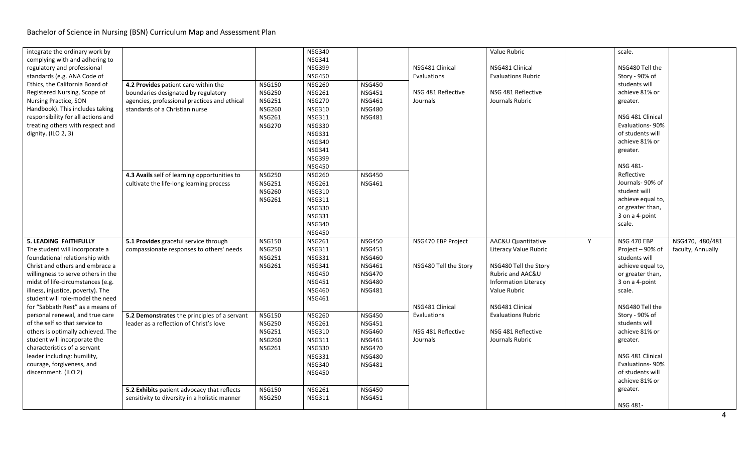| integrate the ordinary work by<br>complying with and adhering to<br>regulatory and professional<br>standards (e.g. ANA Code of<br>Ethics, the California Board of<br>Registered Nursing, Scope of<br><b>Nursing Practice, SON</b><br>Handbook). This includes taking<br>responsibility for all actions and<br>treating others with respect and<br>dignity. (ILO 2, 3)                                                                 | 4.2 Provides patient care within the                                                                                                                                                                              | <b>NSG150</b>                                                                                                                                         | <b>NSG340</b><br><b>NSG341</b><br><b>NSG399</b><br><b>NSG450</b><br><b>NSG260</b>                                                                                                                                                                                                             | <b>NSG450</b>                                                                                                                                                          | NSG481 Clinical<br>Evaluations                                                                      | Value Rubric<br>NSG481 Clinical<br><b>Evaluations Rubric</b>                                                                                                                                                  |   | scale.<br>NSG480 Tell the<br>Story - 90% of<br>students will                                                                                                                                                                                           |                                      |
|---------------------------------------------------------------------------------------------------------------------------------------------------------------------------------------------------------------------------------------------------------------------------------------------------------------------------------------------------------------------------------------------------------------------------------------|-------------------------------------------------------------------------------------------------------------------------------------------------------------------------------------------------------------------|-------------------------------------------------------------------------------------------------------------------------------------------------------|-----------------------------------------------------------------------------------------------------------------------------------------------------------------------------------------------------------------------------------------------------------------------------------------------|------------------------------------------------------------------------------------------------------------------------------------------------------------------------|-----------------------------------------------------------------------------------------------------|---------------------------------------------------------------------------------------------------------------------------------------------------------------------------------------------------------------|---|--------------------------------------------------------------------------------------------------------------------------------------------------------------------------------------------------------------------------------------------------------|--------------------------------------|
|                                                                                                                                                                                                                                                                                                                                                                                                                                       | boundaries designated by regulatory<br>agencies, professional practices and ethical<br>standards of a Christian nurse<br>4.3 Avails self of learning opportunities to<br>cultivate the life-long learning process | <b>NSG250</b><br><b>NSG251</b><br><b>NSG260</b><br><b>NSG261</b><br><b>NSG270</b><br><b>NSG250</b><br><b>NSG251</b><br><b>NSG260</b><br><b>NSG261</b> | <b>NSG261</b><br><b>NSG270</b><br><b>NSG310</b><br><b>NSG311</b><br><b>NSG330</b><br><b>NSG331</b><br><b>NSG340</b><br><b>NSG341</b><br><b>NSG399</b><br><b>NSG450</b><br><b>NSG260</b><br><b>NSG261</b><br><b>NSG310</b><br><b>NSG311</b><br><b>NSG330</b><br><b>NSG331</b><br><b>NSG340</b> | <b>NSG451</b><br><b>NSG461</b><br><b>NSG480</b><br><b>NSG481</b><br><b>NSG450</b><br><b>NSG461</b>                                                                     | NSG 481 Reflective<br>Journals                                                                      | NSG 481 Reflective<br>Journals Rubric                                                                                                                                                                         |   | achieve 81% or<br>greater.<br>NSG 481 Clinical<br>Evaluations-90%<br>of students will<br>achieve 81% or<br>greater.<br>NSG 481-<br>Reflective<br>Journals- 90% of<br>student will<br>achieve equal to,<br>or greater than,<br>3 on a 4-point<br>scale. |                                      |
| <b>5. LEADING FAITHFULLY</b><br>The student will incorporate a<br>foundational relationship with<br>Christ and others and embrace a<br>willingness to serve others in the<br>midst of life-circumstances (e.g.<br>illness, injustice, poverty). The<br>student will role-model the need<br>for "Sabbath Rest" as a means of<br>personal renewal, and true care<br>of the self so that service to<br>others is optimally achieved. The | 5.1 Provides graceful service through<br>compassionate responses to others' needs<br>5.2 Demonstrates the principles of a servant<br>leader as a reflection of Christ's love                                      | <b>NSG150</b><br><b>NSG250</b><br><b>NSG251</b><br><b>NSG261</b><br><b>NSG150</b><br><b>NSG250</b><br><b>NSG251</b>                                   | <b>NSG450</b><br><b>NSG261</b><br><b>NSG311</b><br><b>NSG331</b><br><b>NSG341</b><br><b>NSG450</b><br><b>NSG451</b><br><b>NSG460</b><br><b>NSG461</b><br><b>NSG260</b><br><b>NSG261</b><br><b>NSG310</b>                                                                                      | <b>NSG450</b><br><b>NSG451</b><br><b>NSG460</b><br><b>NSG461</b><br><b>NSG470</b><br><b>NSG480</b><br><b>NSG481</b><br><b>NSG450</b><br><b>NSG451</b><br><b>NSG460</b> | NSG470 EBP Project<br>NSG480 Tell the Story<br>NSG481 Clinical<br>Evaluations<br>NSG 481 Reflective | AAC&U Quantitative<br>Literacy Value Rubric<br>NSG480 Tell the Story<br>Rubric and AAC&U<br><b>Information Literacy</b><br>Value Rubric<br>NSG481 Clinical<br><b>Evaluations Rubric</b><br>NSG 481 Reflective | Y | <b>NSG 470 EBP</b><br>Project - 90% of<br>students will<br>achieve equal to,<br>or greater than,<br>3 on a 4-point<br>scale.<br>NSG480 Tell the<br>Story - 90% of<br>students will<br>achieve 81% or                                                   | NSG470, 480/481<br>faculty, Annually |
| student will incorporate the<br>characteristics of a servant<br>leader including: humility,<br>courage, forgiveness, and<br>discernment. (ILO 2)                                                                                                                                                                                                                                                                                      | 5.2 Exhibits patient advocacy that reflects<br>sensitivity to diversity in a holistic manner                                                                                                                      | <b>NSG260</b><br><b>NSG261</b><br><b>NSG150</b><br><b>NSG250</b>                                                                                      | <b>NSG311</b><br><b>NSG330</b><br><b>NSG331</b><br><b>NSG340</b><br><b>NSG450</b><br><b>NSG261</b><br><b>NSG311</b>                                                                                                                                                                           | <b>NSG461</b><br><b>NSG470</b><br><b>NSG480</b><br><b>NSG481</b><br><b>NSG450</b><br><b>NSG451</b>                                                                     | Journals                                                                                            | Journals Rubric                                                                                                                                                                                               |   | greater.<br>NSG 481 Clinical<br><b>Evaluations-90%</b><br>of students will<br>achieve 81% or<br>greater.<br>NSG 481-                                                                                                                                   |                                      |